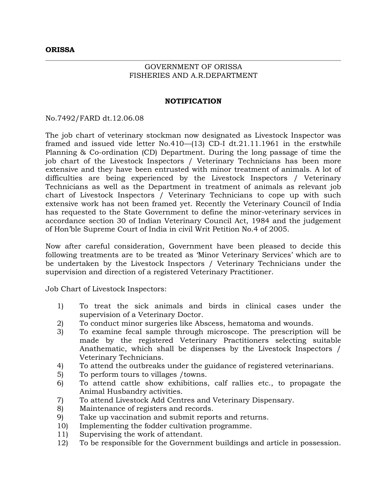## GOVERNMENT OF ORISSA FISHERIES AND A.R.DEPARTMENT

## **NOTIFICATION**

No.7492/FARD dt.12.06.08

The job chart of veterinary stockman now designated as Livestock Inspector was framed and issued vide letter No.410—(13) CD-I dt.21.11.1961 in the erstwhile Planning & Co-ordination (CD) Department. During the long passage of time the job chart of the Livestock Inspectors / Veterinary Technicians has been more extensive and they have been entrusted with minor treatment of animals. A lot of difficulties are being experienced by the Livestock Inspectors / Veterinary Technicians as well as the Department in treatment of animals as relevant job chart of Livestock Inspectors / Veterinary Technicians to cope up with such extensive work has not been framed yet. Recently the Veterinary Council of India has requested to the State Government to define the minor-veterinary services in accordance section 30 of Indian Veterinary Council Act, 1984 and the judgement of Hon'ble Supreme Court of India in civil Writ Petition No.4 of 2005.

Now after careful consideration, Government have been pleased to decide this following treatments are to be treated as 'Minor Veterinary Services' which are to be undertaken by the Livestock Inspectors / Veterinary Technicians under the supervision and direction of a registered Veterinary Practitioner.

Job Chart of Livestock Inspectors:

- 1) To treat the sick animals and birds in clinical cases under the supervision of a Veterinary Doctor.
- 2) To conduct minor surgeries like Abscess, hematoma and wounds.
- 3) To examine fecal sample through microscope. The prescription will be made by the registered Veterinary Practitioners selecting suitable Anathematic, which shall be dispenses by the Livestock Inspectors / Veterinary Technicians.
- 4) To attend the outbreaks under the guidance of registered veterinarians.
- 5) To perform tours to villages /towns.
- 6) To attend cattle show exhibitions, calf rallies etc., to propagate the Animal Husbandry activities.
- 7) To attend Livestock Add Centres and Veterinary Dispensary.
- 8) Maintenance of registers and records.
- 9) Take up vaccination and submit reports and returns.
- 10) Implementing the fodder cultivation programme.
- 11) Supervising the work of attendant.
- 12) To be responsible for the Government buildings and article in possession.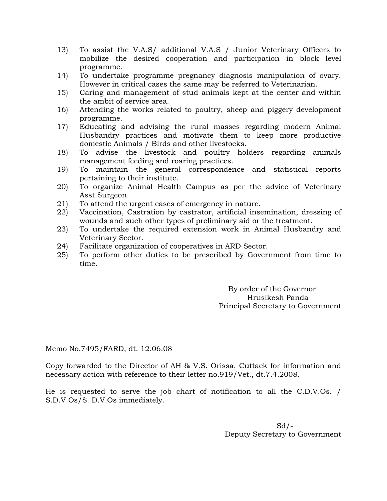- 13) To assist the V.A.S/ additional V.A.S / Junior Veterinary Officers to mobilize the desired cooperation and participation in block level programme.
- 14) To undertake programme pregnancy diagnosis manipulation of ovary. However in critical cases the same may be referred to Veterinarian.
- 15) Caring and management of stud animals kept at the center and within the ambit of service area.
- 16) Attending the works related to poultry, sheep and piggery development programme.
- 17) Educating and advising the rural masses regarding modern Animal Husbandry practices and motivate them to keep more productive domestic Animals / Birds and other livestocks.
- 18) To advise the livestock and poultry holders regarding animals management feeding and roaring practices.
- 19) To maintain the general correspondence and statistical reports pertaining to their institute.
- 20) To organize Animal Health Campus as per the advice of Veterinary Asst.Surgeon.
- 21) To attend the urgent cases of emergency in nature.
- 22) Vaccination, Castration by castrator, artificial insemination, dressing of wounds and such other types of preliminary aid or the treatment.
- 23) To undertake the required extension work in Animal Husbandry and Veterinary Sector.
- 24) Facilitate organization of cooperatives in ARD Sector.
- 25) To perform other duties to be prescribed by Government from time to time.

 By order of the Governor Hrusikesh Panda Principal Secretary to Government

Memo No.7495/FARD, dt. 12.06.08

Copy forwarded to the Director of AH & V.S. Orissa, Cuttack for information and necessary action with reference to their letter no.919/Vet., dt.7.4.2008.

He is requested to serve the job chart of notification to all the C.D.V.Os. / S.D.V.Os/S. D.V.Os immediately.